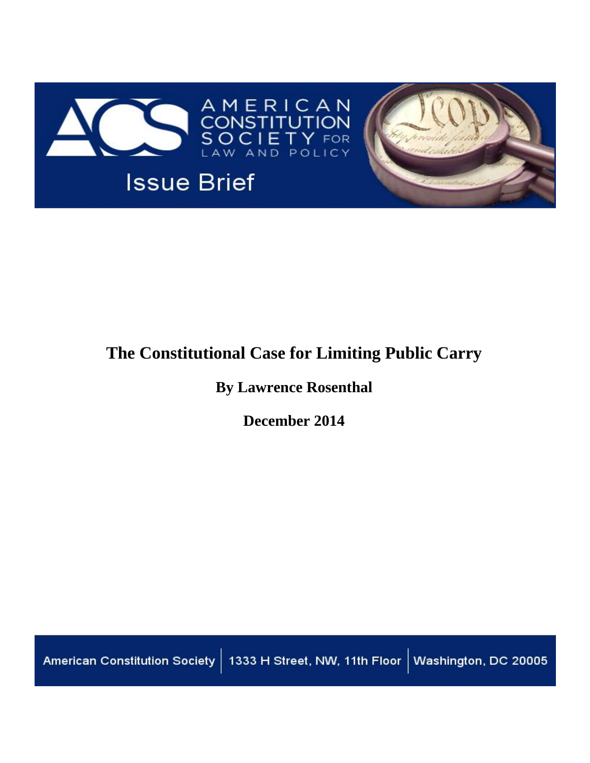

# **The Constitutional Case for Limiting Public Carry**

**By Lawrence Rosenthal**

**December 2014**

American Constitution Society | 1333 H Street, NW, 11th Floor | Washington, DC 20005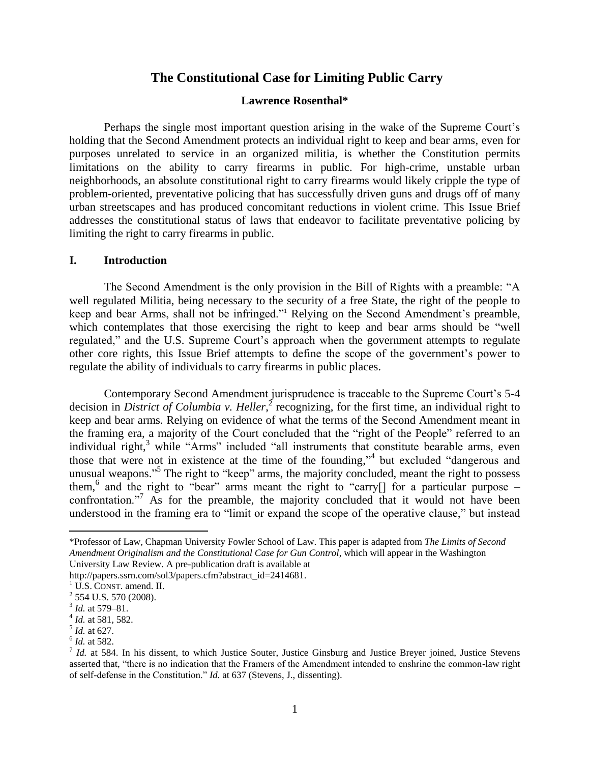# **The Constitutional Case for Limiting Public Carry**

# **Lawrence Rosenthal\***

Perhaps the single most important question arising in the wake of the Supreme Court's holding that the Second Amendment protects an individual right to keep and bear arms, even for purposes unrelated to service in an organized militia, is whether the Constitution permits limitations on the ability to carry firearms in public. For high-crime, unstable urban neighborhoods, an absolute constitutional right to carry firearms would likely cripple the type of problem-oriented, preventative policing that has successfully driven guns and drugs off of many urban streetscapes and has produced concomitant reductions in violent crime. This Issue Brief addresses the constitutional status of laws that endeavor to facilitate preventative policing by limiting the right to carry firearms in public.

# **I. Introduction**

The Second Amendment is the only provision in the Bill of Rights with a preamble: "A well regulated Militia, being necessary to the security of a free State, the right of the people to keep and bear Arms, shall not be infringed."<sup>1</sup> Relying on the Second Amendment's preamble, which contemplates that those exercising the right to keep and bear arms should be "well regulated," and the U.S. Supreme Court's approach when the government attempts to regulate other core rights, this Issue Brief attempts to define the scope of the government's power to regulate the ability of individuals to carry firearms in public places.

Contemporary Second Amendment jurisprudence is traceable to the Supreme Court's 5-4 decision in *District of Columbia v. Heller*,<sup>2</sup> recognizing, for the first time, an individual right to keep and bear arms. Relying on evidence of what the terms of the Second Amendment meant in the framing era, a majority of the Court concluded that the "right of the People" referred to an individual right,<sup>3</sup> while "Arms" included "all instruments that constitute bearable arms, even those that were not in existence at the time of the founding,"<sup>4</sup> but excluded "dangerous and unusual weapons."<sup>5</sup> The right to "keep" arms, the majority concluded, meant the right to possess them,<sup>6</sup> and the right to "bear" arms meant the right to "carry<sup>[]</sup> for a particular purpose – confrontation."<sup>7</sup> As for the preamble, the majority concluded that it would not have been understood in the framing era to "limit or expand the scope of the operative clause," but instead

<sup>\*</sup>Professor of Law, Chapman University Fowler School of Law. This paper is adapted from *The Limits of Second Amendment Originalism and the Constitutional Case for Gun Control*, which will appear in the Washington University Law Review. A pre-publication draft is available at

http://papers.ssrn.com/sol3/papers.cfm?abstract\_id=2414681.

 $<sup>1</sup>$  U.S. CONST. amend. II.</sup>

 $2$  554 U.S. 570 (2008).

<sup>3</sup> *Id.* at 579–81.

<sup>4</sup> *Id.* at 581, 582.

<sup>5</sup> *Id.* at 627.

<sup>6</sup> *Id.* at 582.

<sup>&</sup>lt;sup>7</sup> *Id.* at 584. In his dissent, to which Justice Souter, Justice Ginsburg and Justice Breyer joined, Justice Stevens asserted that, "there is no indication that the Framers of the Amendment intended to enshrine the common-law right of self-defense in the Constitution." *Id.* at 637 (Stevens, J., dissenting).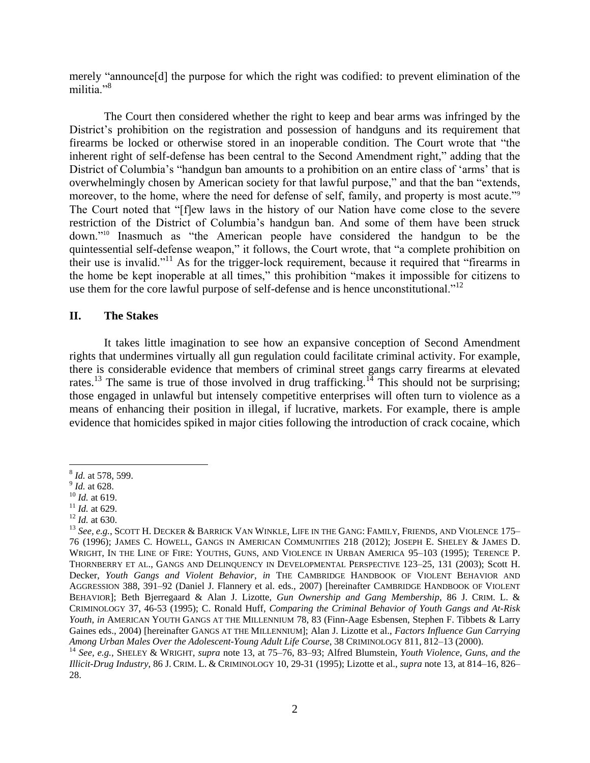merely "announce[d] the purpose for which the right was codified: to prevent elimination of the militia<sup>"8</sup>

The Court then considered whether the right to keep and bear arms was infringed by the District's prohibition on the registration and possession of handguns and its requirement that firearms be locked or otherwise stored in an inoperable condition. The Court wrote that "the inherent right of self-defense has been central to the Second Amendment right," adding that the District of Columbia's "handgun ban amounts to a prohibition on an entire class of 'arms' that is overwhelmingly chosen by American society for that lawful purpose," and that the ban "extends, moreover, to the home, where the need for defense of self, family, and property is most acute."<sup>9</sup> The Court noted that "[f]ew laws in the history of our Nation have come close to the severe restriction of the District of Columbia's handgun ban. And some of them have been struck down."<sup>10</sup> Inasmuch as "the American people have considered the handgun to be the quintessential self-defense weapon," it follows, the Court wrote, that "a complete prohibition on their use is invalid."<sup>11</sup> As for the trigger-lock requirement, because it required that "firearms in the home be kept inoperable at all times," this prohibition "makes it impossible for citizens to use them for the core lawful purpose of self-defense and is hence unconstitutional."<sup>12</sup>

# **II. The Stakes**

It takes little imagination to see how an expansive conception of Second Amendment rights that undermines virtually all gun regulation could facilitate criminal activity. For example, there is considerable evidence that members of criminal street gangs carry firearms at elevated rates.<sup>13</sup> The same is true of those involved in drug trafficking.<sup>14</sup> This should not be surprising; those engaged in unlawful but intensely competitive enterprises will often turn to violence as a means of enhancing their position in illegal, if lucrative, markets. For example, there is ample evidence that homicides spiked in major cities following the introduction of crack cocaine, which

<sup>8</sup> *Id.* at 578, 599.

<sup>9</sup> *Id.* at 628.

<sup>10</sup> *Id.* at 619.

<sup>11</sup> *Id.* at 629.

<sup>12</sup> *Id.* at 630.

<sup>13</sup> *See, e.g.*, SCOTT H. DECKER & BARRICK VAN WINKLE, LIFE IN THE GANG: FAMILY, FRIENDS, AND VIOLENCE 175– 76 (1996); JAMES C. HOWELL, GANGS IN AMERICAN COMMUNITIES 218 (2012); JOSEPH E. SHELEY & JAMES D. WRIGHT, IN THE LINE OF FIRE: YOUTHS, GUNS, AND VIOLENCE IN URBAN AMERICA 95–103 (1995); TERENCE P. THORNBERRY ET AL., GANGS AND DELINQUENCY IN DEVELOPMENTAL PERSPECTIVE 123–25, 131 (2003); Scott H. Decker, *Youth Gangs and Violent Behavior*, *in* THE CAMBRIDGE HANDBOOK OF VIOLENT BEHAVIOR AND AGGRESSION 388, 391–92 (Daniel J. Flannery et al. eds., 2007) [hereinafter CAMBRIDGE HANDBOOK OF VIOLENT BEHAVIOR]; Beth Bjerregaard & Alan J. Lizotte, *Gun Ownership and Gang Membership*, 86 J. CRIM. L. & CRIMINOLOGY 37, 46-53 (1995); C. Ronald Huff, *Comparing the Criminal Behavior of Youth Gangs and At-Risk Youth*, *in* AMERICAN YOUTH GANGS AT THE MILLENNIUM 78, 83 (Finn-Aage Esbensen, Stephen F. Tibbets & Larry Gaines eds., 2004) [hereinafter GANGS AT THE MILLENNIUM]; Alan J. Lizotte et al., *Factors Influence Gun Carrying Among Urban Males Over the Adolescent-Young Adult Life Course*, 38 CRIMINOLOGY 811, 812–13 (2000).

<sup>14</sup> *See, e.g.*, SHELEY & WRIGHT, *supra* note 13, at 75–76, 83–93; Alfred Blumstein, *Youth Violence, Guns, and the Illicit-Drug Industry*, 86 J. CRIM. L. & CRIMINOLOGY 10, 29-31 (1995); Lizotte et al., *supra* note 13, at 814–16, 826– 28.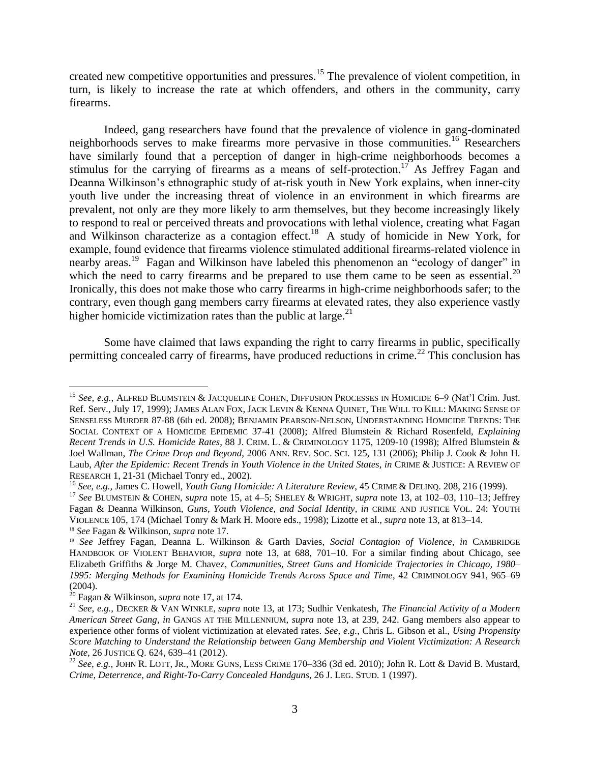created new competitive opportunities and pressures.<sup>15</sup> The prevalence of violent competition, in turn, is likely to increase the rate at which offenders, and others in the community, carry firearms.

Indeed, gang researchers have found that the prevalence of violence in gang-dominated neighborhoods serves to make firearms more pervasive in those communities.<sup>16</sup> Researchers have similarly found that a perception of danger in high-crime neighborhoods becomes a stimulus for the carrying of firearms as a means of self-protection.<sup>17</sup> As Jeffrey Fagan and Deanna Wilkinson's ethnographic study of at-risk youth in New York explains, when inner-city youth live under the increasing threat of violence in an environment in which firearms are prevalent, not only are they more likely to arm themselves, but they become increasingly likely to respond to real or perceived threats and provocations with lethal violence, creating what Fagan and Wilkinson characterize as a contagion effect.<sup>18</sup> A study of homicide in New York, for example, found evidence that firearms violence stimulated additional firearms-related violence in nearby areas.<sup>19</sup> Fagan and Wilkinson have labeled this phenomenon an "ecology of danger" in which the need to carry firearms and be prepared to use them came to be seen as essential.<sup>20</sup> Ironically, this does not make those who carry firearms in high-crime neighborhoods safer; to the contrary, even though gang members carry firearms at elevated rates, they also experience vastly higher homicide victimization rates than the public at large. $^{21}$ 

Some have claimed that laws expanding the right to carry firearms in public, specifically permitting concealed carry of firearms, have produced reductions in crime.<sup>22</sup> This conclusion has

<sup>&</sup>lt;sup>15</sup> See, e.g., ALFRED BLUMSTEIN & JACQUELINE COHEN, DIFFUSION PROCESSES IN HOMICIDE 6-9 (Nat'l Crim. Just. Ref. Serv., July 17, 1999); JAMES ALAN FOX, JACK LEVIN & KENNA QUINET, THE WILL TO KILL: MAKING SENSE OF SENSELESS MURDER 87-88 (6th ed. 2008); BENJAMIN PEARSON-NELSON, UNDERSTANDING HOMICIDE TRENDS: THE SOCIAL CONTEXT OF A HOMICIDE EPIDEMIC 37-41 (2008); Alfred Blumstein & Richard Rosenfeld, *Explaining Recent Trends in U.S. Homicide Rates*, 88 J. CRIM. L. & CRIMINOLOGY 1175, 1209-10 (1998); Alfred Blumstein & Joel Wallman, *The Crime Drop and Beyond*, 2006 ANN. REV. SOC. SCI. 125, 131 (2006); Philip J. Cook & John H. Laub, *After the Epidemic: Recent Trends in Youth Violence in the United States*, *in* CRIME & JUSTICE: A REVIEW OF RESEARCH 1, 21-31 (Michael Tonry ed., 2002).

<sup>16</sup> *See, e.g.*, James C. Howell, *Youth Gang Homicide: A Literature Review*, 45 CRIME & DELINQ. 208, 216 (1999).

<sup>17</sup> *See* BLUMSTEIN & COHEN, *supra* note 15, at 4–5; SHELEY & WRIGHT, *supra* note 13, at 102–03, 110–13; Jeffrey Fagan & Deanna Wilkinson, *Guns, Youth Violence, and Social Identity*, *in* CRIME AND JUSTICE VOL. 24: YOUTH VIOLENCE 105, 174 (Michael Tonry & Mark H. Moore eds., 1998); Lizotte et al., *supra* note 13, at 813–14. <sup>18</sup> *See* Fagan & Wilkinson, *supra* note 17.

<sup>19</sup> *See* Jeffrey Fagan, Deanna L. Wilkinson & Garth Davies, *Social Contagion of Violence*, *in* CAMBRIDGE HANDBOOK OF VIOLENT BEHAVIOR, *supra* note 13, at 688, 701–10. For a similar finding about Chicago, see Elizabeth Griffiths & Jorge M. Chavez, *Communities, Street Guns and Homicide Trajectories in Chicago, 1980– 1995: Merging Methods for Examining Homicide Trends Across Space and Time*, 42 CRIMINOLOGY 941, 965–69 (2004).

<sup>20</sup> Fagan & Wilkinson, *supra* note 17, at 174.

<sup>21</sup> *See*, *e.g.*, DECKER & VAN WINKLE, *supra* note 13, at 173; Sudhir Venkatesh, *The Financial Activity of a Modern American Street Gang*, *in* GANGS AT THE MILLENNIUM, *supra* note 13, at 239, 242. Gang members also appear to experience other forms of violent victimization at elevated rates. *See*, *e.g.*, Chris L. Gibson et al., *Using Propensity Score Matching to Understand the Relationship between Gang Membership and Violent Victimization: A Research Note*, 26 JUSTICE Q. 624, 639–41 (2012).

<sup>22</sup> *See, e.g.*, JOHN R. LOTT, JR., MORE GUNS, LESS CRIME 170–336 (3d ed. 2010); John R. Lott & David B. Mustard, *Crime, Deterrence, and Right-To-Carry Concealed Handguns*, 26 J. LEG. STUD. 1 (1997).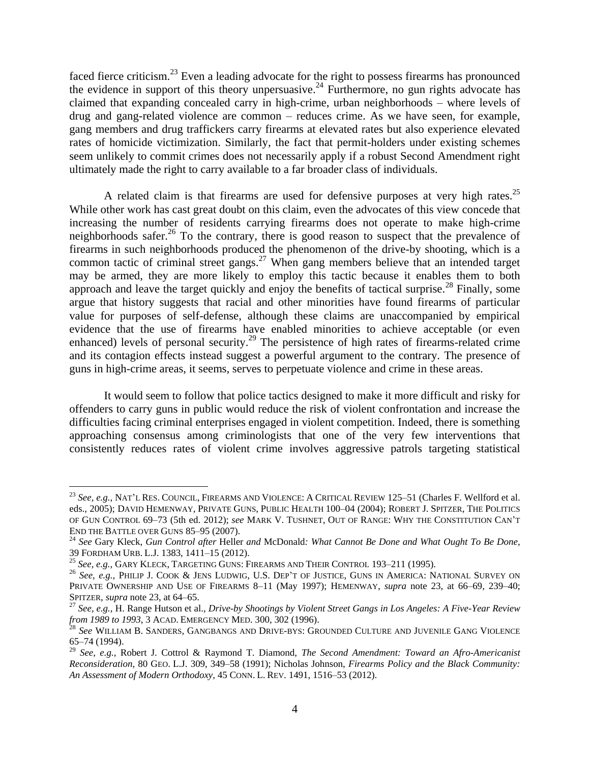faced fierce criticism.<sup>23</sup> Even a leading advocate for the right to possess firearms has pronounced the evidence in support of this theory unpersuasive.<sup>24</sup> Furthermore, no gun rights advocate has claimed that expanding concealed carry in high-crime, urban neighborhoods – where levels of drug and gang-related violence are common – reduces crime. As we have seen, for example, gang members and drug traffickers carry firearms at elevated rates but also experience elevated rates of homicide victimization. Similarly, the fact that permit-holders under existing schemes seem unlikely to commit crimes does not necessarily apply if a robust Second Amendment right ultimately made the right to carry available to a far broader class of individuals.

A related claim is that firearms are used for defensive purposes at very high rates.<sup>25</sup> While other work has cast great doubt on this claim, even the advocates of this view concede that increasing the number of residents carrying firearms does not operate to make high-crime neighborhoods safer.<sup>26</sup> To the contrary, there is good reason to suspect that the prevalence of firearms in such neighborhoods produced the phenomenon of the drive-by shooting, which is a common tactic of criminal street gangs.<sup>27</sup> When gang members believe that an intended target may be armed, they are more likely to employ this tactic because it enables them to both approach and leave the target quickly and enjoy the benefits of tactical surprise.<sup>28</sup> Finally, some argue that history suggests that racial and other minorities have found firearms of particular value for purposes of self-defense, although these claims are unaccompanied by empirical evidence that the use of firearms have enabled minorities to achieve acceptable (or even enhanced) levels of personal security.<sup>29</sup> The persistence of high rates of firearms-related crime and its contagion effects instead suggest a powerful argument to the contrary. The presence of guns in high-crime areas, it seems, serves to perpetuate violence and crime in these areas.

It would seem to follow that police tactics designed to make it more difficult and risky for offenders to carry guns in public would reduce the risk of violent confrontation and increase the difficulties facing criminal enterprises engaged in violent competition. Indeed, there is something approaching consensus among criminologists that one of the very few interventions that consistently reduces rates of violent crime involves aggressive patrols targeting statistical

<sup>23</sup> *See, e.g.*, NAT'L RES. COUNCIL, FIREARMS AND VIOLENCE: A CRITICAL REVIEW 125–51 (Charles F. Wellford et al. eds., 2005); DAVID HEMENWAY, PRIVATE GUNS, PUBLIC HEALTH 100–04 (2004); ROBERT J. SPITZER, THE POLITICS OF GUN CONTROL 69–73 (5th ed. 2012); *see* MARK V. TUSHNET, OUT OF RANGE: WHY THE CONSTITUTION CAN'T END THE BATTLE OVER GUNS 85–95 (2007).

<sup>24</sup> *See* Gary Kleck, *Gun Control after* Heller *and* McDonald*: What Cannot Be Done and What Ought To Be Done*, 39 FORDHAM URB. L.J. 1383, 1411–15 (2012).

<sup>25</sup> *See, e.g.*, GARY KLECK, TARGETING GUNS: FIREARMS AND THEIR CONTROL 193–211 (1995).

<sup>26</sup> *See, e.g.*, PHILIP J. COOK & JENS LUDWIG, U.S. DEP'T OF JUSTICE, GUNS IN AMERICA: NATIONAL SURVEY ON PRIVATE OWNERSHIP AND USE OF FIREARMS 8–11 (May 1997); HEMENWAY, *supra* note 23, at 66–69, 239–40; SPITZER, *supra* note 23, at 64–65.

<sup>27</sup> *See*, *e.g.*, H. Range Hutson et al., *Drive-by Shootings by Violent Street Gangs in Los Angeles: A Five-Year Review from 1989 to 1993*, 3 ACAD. EMERGENCY MED. 300, 302 (1996).

<sup>28</sup> *See* WILLIAM B. SANDERS, GANGBANGS AND DRIVE-BYS: GROUNDED CULTURE AND JUVENILE GANG VIOLENCE 65–74 (1994).

<sup>29</sup> *See*, *e.g.*, Robert J. Cottrol & Raymond T. Diamond, *The Second Amendment: Toward an Afro-Americanist Reconsideration*, 80 GEO. L.J. 309, 349–58 (1991); Nicholas Johnson, *Firearms Policy and the Black Community: An Assessment of Modern Orthodoxy*, 45 CONN. L. REV. 1491, 1516–53 (2012).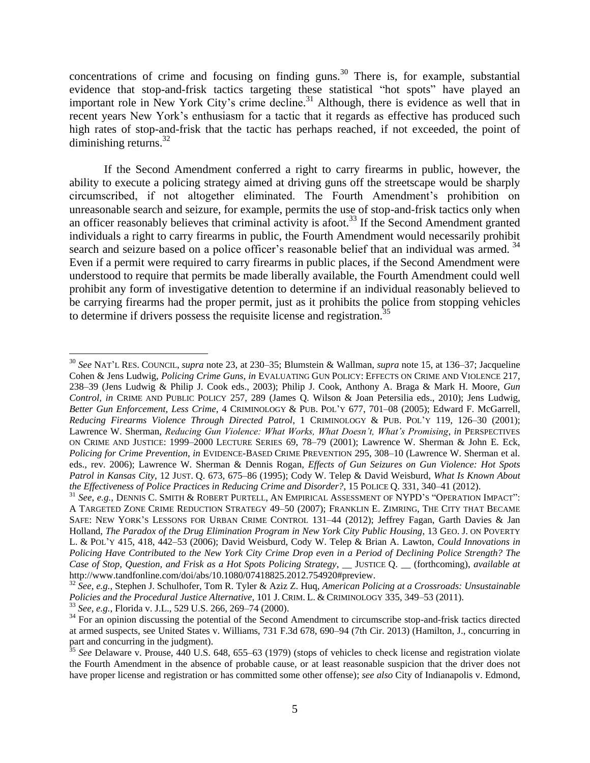concentrations of crime and focusing on finding guns.<sup>30</sup> There is, for example, substantial evidence that stop-and-frisk tactics targeting these statistical "hot spots" have played an important role in New York City's crime decline.<sup>31</sup> Although, there is evidence as well that in recent years New York's enthusiasm for a tactic that it regards as effective has produced such high rates of stop-and-frisk that the tactic has perhaps reached, if not exceeded, the point of diminishing returns.<sup>32</sup>

If the Second Amendment conferred a right to carry firearms in public, however, the ability to execute a policing strategy aimed at driving guns off the streetscape would be sharply circumscribed, if not altogether eliminated. The Fourth Amendment's prohibition on unreasonable search and seizure, for example, permits the use of stop-and-frisk tactics only when an officer reasonably believes that criminal activity is afoot.<sup>33</sup> If the Second Amendment granted individuals a right to carry firearms in public, the Fourth Amendment would necessarily prohibit search and seizure based on a police officer's reasonable belief that an individual was armed.<sup>34</sup> Even if a permit were required to carry firearms in public places, if the Second Amendment were understood to require that permits be made liberally available, the Fourth Amendment could well prohibit any form of investigative detention to determine if an individual reasonably believed to be carrying firearms had the proper permit, just as it prohibits the police from stopping vehicles to determine if drivers possess the requisite license and registration.<sup>35</sup>

<sup>30</sup> *See* NAT'L RES. COUNCIL, *supra* note 23, at 230–35; Blumstein & Wallman, *supra* note 15, at 136–37; Jacqueline Cohen & Jens Ludwig, *Policing Crime Guns*, *in* EVALUATING GUN POLICY: EFFECTS ON CRIME AND VIOLENCE 217, 238–39 (Jens Ludwig & Philip J. Cook eds., 2003); Philip J. Cook, Anthony A. Braga & Mark H. Moore, *Gun Control, in* CRIME AND PUBLIC POLICY 257, 289 (James Q. Wilson & Joan Petersilia eds., 2010); Jens Ludwig, *Better Gun Enforcement, Less Crime*, 4 CRIMINOLOGY & PUB. POL'Y 677, 701–08 (2005); Edward F. McGarrell, *Reducing Firearms Violence Through Directed Patrol*, 1 CRIMINOLOGY & PUB. POL'Y 119, 126–30 (2001); Lawrence W. Sherman, *Reducing Gun Violence: What Works, What Doesn't, What's Promising*, *in* PERSPECTIVES ON CRIME AND JUSTICE: 1999–2000 LECTURE SERIES 69, 78–79 (2001); Lawrence W. Sherman & John E. Eck, *Policing for Crime Prevention*, *in* EVIDENCE-BASED CRIME PREVENTION 295, 308–10 (Lawrence W. Sherman et al. eds., rev. 2006); Lawrence W. Sherman & Dennis Rogan, *Effects of Gun Seizures on Gun Violence: Hot Spots Patrol in Kansas City*, 12 JUST. Q. 673, 675–86 (1995); Cody W. Telep & David Weisburd, *What Is Known About the Effectiveness of Police Practices in Reducing Crime and Disorder?*, 15 POLICE Q. 331, 340–41 (2012).

<sup>31</sup> *See*, *e.g.*, DENNIS C. SMITH & ROBERT PURTELL, AN EMPIRICAL ASSESSMENT OF NYPD'S "OPERATION IMPACT": A TARGETED ZONE CRIME REDUCTION STRATEGY 49–50 (2007); FRANKLIN E. ZIMRING, THE CITY THAT BECAME SAFE: NEW YORK'S LESSONS FOR URBAN CRIME CONTROL 131–44 (2012); Jeffrey Fagan, Garth Davies & Jan Holland, *The Paradox of the Drug Elimination Program in New York City Public Housing*, 13 GEO. J. ON POVERTY L. & POL'Y 415, 418, 442–53 (2006); David Weisburd, Cody W. Telep & Brian A. Lawton, *Could Innovations in Policing Have Contributed to the New York City Crime Drop even in a Period of Declining Police Strength? The Case of Stop, Question, and Frisk as a Hot Spots Policing Strategy*, \_\_ JUSTICE Q. \_\_ (forthcoming), *available at* [http://www.tandfonline.com/doi/abs/10.1080/07418825.2012.754920#preview.](http://www.tandfonline.com/doi/abs/10.1080/07418825.2012.754920#preview)

<sup>32</sup> *See*, *e.g.*, Stephen J. Schulhofer, Tom R. Tyler & Aziz Z. Huq, *American Policing at a Crossroads: Unsustainable Policies and the Procedural Justice Alternative*, 101 J. CRIM. L. & CRIMINOLOGY 335, 349–53 (2011).

<sup>33</sup> *See*, *e.g.*, Florida v. J.L., 529 U.S. 266, 269–74 (2000).

<sup>&</sup>lt;sup>34</sup> For an opinion discussing the potential of the Second Amendment to circumscribe stop-and-frisk tactics directed at armed suspects, see United States v. Williams, 731 F.3d 678, 690–94 (7th Cir. 2013) (Hamilton, J., concurring in part and concurring in the judgment).

<sup>&</sup>lt;sup>35</sup> See Delaware v. Prouse, 440 U.S. 648, 655–63 (1979) (stops of vehicles to check license and registration violate the Fourth Amendment in the absence of probable cause, or at least reasonable suspicion that the driver does not have proper license and registration or has committed some other offense); *see also* City of Indianapolis v. Edmond,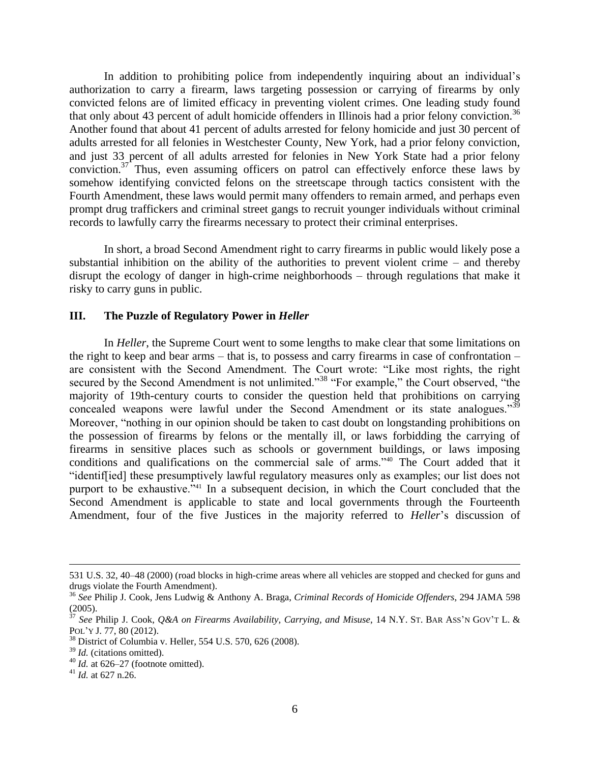In addition to prohibiting police from independently inquiring about an individual's authorization to carry a firearm, laws targeting possession or carrying of firearms by only convicted felons are of limited efficacy in preventing violent crimes. One leading study found that only about 43 percent of adult homicide offenders in Illinois had a prior felony conviction.<sup>36</sup> Another found that about 41 percent of adults arrested for felony homicide and just 30 percent of adults arrested for all felonies in Westchester County, New York, had a prior felony conviction, and just 33 percent of all adults arrested for felonies in New York State had a prior felony conviction.<sup>37</sup> Thus, even assuming officers on patrol can effectively enforce these laws by somehow identifying convicted felons on the streetscape through tactics consistent with the Fourth Amendment, these laws would permit many offenders to remain armed, and perhaps even prompt drug traffickers and criminal street gangs to recruit younger individuals without criminal records to lawfully carry the firearms necessary to protect their criminal enterprises.

In short, a broad Second Amendment right to carry firearms in public would likely pose a substantial inhibition on the ability of the authorities to prevent violent crime  $-$  and thereby disrupt the ecology of danger in high-crime neighborhoods – through regulations that make it risky to carry guns in public.

# **III. The Puzzle of Regulatory Power in** *Heller*

In *Heller*, the Supreme Court went to some lengths to make clear that some limitations on the right to keep and bear arms – that is, to possess and carry firearms in case of confrontation – are consistent with the Second Amendment. The Court wrote: "Like most rights, the right secured by the Second Amendment is not unlimited."<sup>38</sup> "For example," the Court observed, "the majority of 19th-century courts to consider the question held that prohibitions on carrying concealed weapons were lawful under the Second Amendment or its state analogues."<sup>39</sup> Moreover, "nothing in our opinion should be taken to cast doubt on longstanding prohibitions on the possession of firearms by felons or the mentally ill, or laws forbidding the carrying of firearms in sensitive places such as schools or government buildings, or laws imposing conditions and qualifications on the commercial sale of arms."<sup>40</sup> The Court added that it "identif[ied] these presumptively lawful regulatory measures only as examples; our list does not purport to be exhaustive.<sup>241</sup> In a subsequent decision, in which the Court concluded that the Second Amendment is applicable to state and local governments through the Fourteenth Amendment, four of the five Justices in the majority referred to *Heller*'s discussion of

<sup>531</sup> U.S. 32, 40–48 (2000) (road blocks in high-crime areas where all vehicles are stopped and checked for guns and drugs violate the Fourth Amendment).

<sup>36</sup> *See* Philip J. Cook, Jens Ludwig & Anthony A. Braga, *Criminal Records of Homicide Offenders*, 294 JAMA 598 (2005).

<sup>37</sup> *See* Philip J. Cook, *Q&A on Firearms Availability, Carrying, and Misuse*, 14 N.Y. ST. BAR ASS'N GOV'T L. & POL'Y J. 77, 80 (2012).

<sup>38</sup> District of Columbia v. Heller*,* 554 U.S. 570, 626 (2008).

<sup>39</sup> *Id.* (citations omitted).

<sup>40</sup> *Id.* at 626–27 (footnote omitted).

<sup>41</sup> *Id.* at 627 n.26.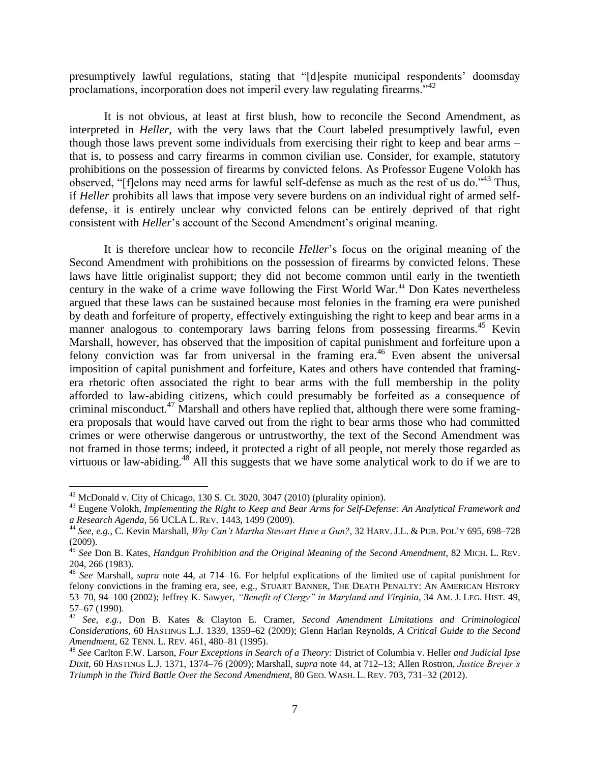presumptively lawful regulations, stating that "[d]espite municipal respondents' doomsday proclamations, incorporation does not imperil every law regulating firearms."<sup>42</sup>

It is not obvious, at least at first blush, how to reconcile the Second Amendment, as interpreted in *Heller*, with the very laws that the Court labeled presumptively lawful, even though those laws prevent some individuals from exercising their right to keep and bear arms – that is, to possess and carry firearms in common civilian use. Consider, for example, statutory prohibitions on the possession of firearms by convicted felons. As Professor Eugene Volokh has observed, "[f]elons may need arms for lawful self-defense as much as the rest of us do."<sup>43</sup> Thus, if *Heller* prohibits all laws that impose very severe burdens on an individual right of armed selfdefense, it is entirely unclear why convicted felons can be entirely deprived of that right consistent with *Heller*'s account of the Second Amendment's original meaning.

It is therefore unclear how to reconcile *Heller*'s focus on the original meaning of the Second Amendment with prohibitions on the possession of firearms by convicted felons. These laws have little originalist support; they did not become common until early in the twentieth century in the wake of a crime wave following the First World War.<sup>44</sup> Don Kates nevertheless argued that these laws can be sustained because most felonies in the framing era were punished by death and forfeiture of property, effectively extinguishing the right to keep and bear arms in a manner analogous to contemporary laws barring felons from possessing firearms.<sup>45</sup> Kevin Marshall, however, has observed that the imposition of capital punishment and forfeiture upon a felony conviction was far from universal in the framing  $era<sup>46</sup>$  Even absent the universal imposition of capital punishment and forfeiture, Kates and others have contended that framingera rhetoric often associated the right to bear arms with the full membership in the polity afforded to law-abiding citizens, which could presumably be forfeited as a consequence of criminal misconduct.<sup>47</sup> Marshall and others have replied that, although there were some framingera proposals that would have carved out from the right to bear arms those who had committed crimes or were otherwise dangerous or untrustworthy, the text of the Second Amendment was not framed in those terms; indeed, it protected a right of all people, not merely those regarded as virtuous or law-abiding.<sup>48</sup> All this suggests that we have some analytical work to do if we are to

 $42$  McDonald v. City of Chicago, 130 S. Ct. 3020, 3047 (2010) (plurality opinion).

<sup>43</sup> Eugene Volokh, *Implementing the Right to Keep and Bear Arms for Self-Defense: An Analytical Framework and a Research Agenda*, 56 UCLA L. REV. 1443, 1499 (2009).

<sup>44</sup> *See*, *e.g.*, C. Kevin Marshall, *Why Can't Martha Stewart Have a Gun?*, 32 HARV. J.L. & PUB. POL'<sup>Y</sup> 695, 698–728 (2009).

<sup>45</sup> *See* Don B. Kates, *Handgun Prohibition and the Original Meaning of the Second Amendment*, 82 MICH. L. REV. 204, 266 (1983).

<sup>46</sup> *See* Marshall, *supra* note 44, at 714–16. For helpful explications of the limited use of capital punishment for felony convictions in the framing era, see, e.g., STUART BANNER, THE DEATH PENALTY: AN AMERICAN HISTORY 53–70, 94–100 (2002); Jeffrey K. Sawyer, *"Benefit of Clergy" in Maryland and Virginia*, 34 AM. J. LEG. HIST. 49, 57–67 (1990).

<sup>47</sup> *See*, *e.g.*, Don B. Kates & Clayton E. Cramer, *Second Amendment Limitations and Criminological Considerations*, 60 HASTINGS L.J. 1339, 1359–62 (2009); Glenn Harlan Reynolds, *A Critical Guide to the Second Amendment*, 62 TENN. L. REV. 461, 480–81 (1995).

<sup>48</sup> *See* Carlton F.W. Larson, *Four Exceptions in Search of a Theory:* District of Columbia v. Heller *and Judicial Ipse Dixit*, 60 HASTINGS L.J. 1371, 1374–76 (2009); Marshall, *supra* note 44, at 712–13; Allen Rostron, *Justice Breyer's Triumph in the Third Battle Over the Second Amendment*, 80 GEO. WASH. L. REV. 703, 731–32 (2012).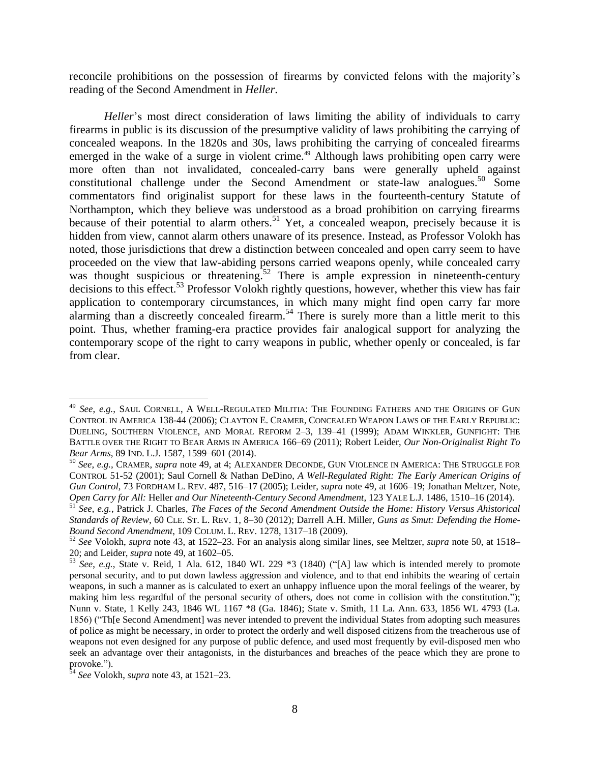reconcile prohibitions on the possession of firearms by convicted felons with the majority's reading of the Second Amendment in *Heller*.

*Heller*'s most direct consideration of laws limiting the ability of individuals to carry firearms in public is its discussion of the presumptive validity of laws prohibiting the carrying of concealed weapons. In the 1820s and 30s, laws prohibiting the carrying of concealed firearms emerged in the wake of a surge in violent crime.<sup>49</sup> Although laws prohibiting open carry were more often than not invalidated, concealed-carry bans were generally upheld against constitutional challenge under the Second Amendment or state-law analogues.<sup>50</sup> Some commentators find originalist support for these laws in the fourteenth-century Statute of Northampton, which they believe was understood as a broad prohibition on carrying firearms because of their potential to alarm others.<sup>51</sup> Yet, a concealed weapon, precisely because it is hidden from view, cannot alarm others unaware of its presence. Instead, as Professor Volokh has noted, those jurisdictions that drew a distinction between concealed and open carry seem to have proceeded on the view that law-abiding persons carried weapons openly, while concealed carry was thought suspicious or threatening.<sup>52</sup> There is ample expression in nineteenth-century decisions to this effect.<sup>53</sup> Professor Volokh rightly questions, however, whether this view has fair application to contemporary circumstances, in which many might find open carry far more alarming than a discreetly concealed firearm.<sup>54</sup> There is surely more than a little merit to this point. Thus, whether framing-era practice provides fair analogical support for analyzing the contemporary scope of the right to carry weapons in public, whether openly or concealed, is far from clear.

<sup>49</sup> *See*, *e.g.*, SAUL CORNELL, A WELL-REGULATED MILITIA: THE FOUNDING FATHERS AND THE ORIGINS OF GUN CONTROL IN AMERICA 138-44 (2006); CLAYTON E. CRAMER, CONCEALED WEAPON LAWS OF THE EARLY REPUBLIC: DUELING, SOUTHERN VIOLENCE, AND MORAL REFORM 2–3, 139–41 (1999); ADAM WINKLER, GUNFIGHT: THE BATTLE OVER THE RIGHT TO BEAR ARMS IN AMERICA 166–69 (2011); Robert Leider, *Our Non-Originalist Right To Bear Arms*, 89 IND. L.J. 1587, 1599–601 (2014).

<sup>50</sup> *See*, *e.g.*, CRAMER, *supra* note 49, at 4; ALEXANDER DECONDE, GUN VIOLENCE IN AMERICA: THE STRUGGLE FOR CONTROL 51-52 (2001); Saul Cornell & Nathan DeDino, *A Well-Regulated Right: The Early American Origins of Gun Control*, 73 FORDHAM L. REV. 487, 516–17 (2005); Leider, *supra* note 49, at 1606–19; Jonathan Meltzer, Note, *Open Carry for All:* Heller *and Our Nineteenth-Century Second Amendment*, 123 YALE L.J. 1486, 1510–16 (2014).

<sup>51</sup> *See*, *e.g.*, Patrick J. Charles, *The Faces of the Second Amendment Outside the Home: History Versus Ahistorical Standards of Review*, 60 CLE. ST. L. REV. 1, 8–30 (2012); Darrell A.H. Miller, *Guns as Smut: Defending the Home-Bound Second Amendment*, 109 COLUM. L. REV. 1278, 1317–18 (2009).

<sup>52</sup> *See* Volokh, *supra* note 43, at 1522–23. For an analysis along similar lines, see Meltzer, *supra* note 50, at 1518– 20; and Leider, *supra* note 49, at 1602–05.

<sup>53</sup> *See*, *e.g.*, State v. Reid, 1 Ala. 612, 1840 WL 229 \*3 (1840) ("[A] law which is intended merely to promote personal security, and to put down lawless aggression and violence, and to that end inhibits the wearing of certain weapons, in such a manner as is calculated to exert an unhappy influence upon the moral feelings of the wearer, by making him less regardful of the personal security of others, does not come in collision with the constitution."); Nunn v. State, 1 Kelly 243, 1846 WL 1167 \*8 (Ga. 1846); State v. Smith, 11 La. Ann. 633, 1856 WL 4793 (La. 1856) ("Th[e Second Amendment] was never intended to prevent the individual States from adopting such measures of police as might be necessary, in order to protect the orderly and well disposed citizens from the treacherous use of weapons not even designed for any purpose of public defence, and used most frequently by evil-disposed men who seek an advantage over their antagonists, in the disturbances and breaches of the peace which they are prone to provoke.").

<sup>54</sup> *See* Volokh, *supra* note 43, at 1521–23.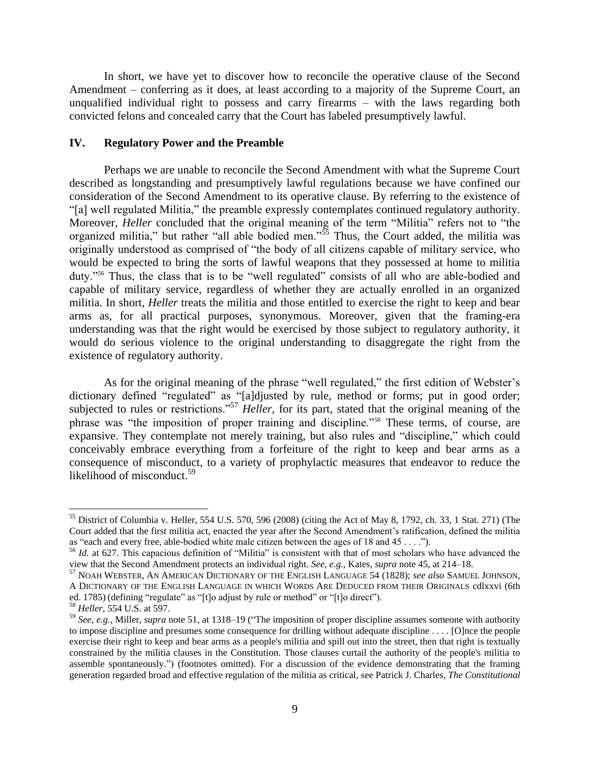In short, we have yet to discover how to reconcile the operative clause of the Second Amendment – conferring as it does, at least according to a majority of the Supreme Court, an unqualified individual right to possess and carry firearms – with the laws regarding both convicted felons and concealed carry that the Court has labeled presumptively lawful.

#### **IV. Regulatory Power and the Preamble**

Perhaps we are unable to reconcile the Second Amendment with what the Supreme Court described as longstanding and presumptively lawful regulations because we have confined our consideration of the Second Amendment to its operative clause. By referring to the existence of "[a] well regulated Militia," the preamble expressly contemplates continued regulatory authority. Moreover, *Heller* concluded that the original meaning of the term "Militia" refers not to "the organized militia," but rather "all able bodied men."<sup>55</sup> Thus, the Court added, the militia was originally understood as comprised of "the body of all citizens capable of military service, who would be expected to bring the sorts of lawful weapons that they possessed at home to militia duty."<sup>56</sup> Thus, the class that is to be "well regulated" consists of all who are able-bodied and capable of military service, regardless of whether they are actually enrolled in an organized militia. In short, *Heller* treats the militia and those entitled to exercise the right to keep and bear arms as, for all practical purposes, synonymous. Moreover, given that the framing-era understanding was that the right would be exercised by those subject to regulatory authority, it would do serious violence to the original understanding to disaggregate the right from the existence of regulatory authority.

As for the original meaning of the phrase "well regulated," the first edition of Webster's dictionary defined "regulated" as "[a]djusted by rule, method or forms; put in good order; subjected to rules or restrictions."<sup>57</sup> *Heller*, for its part, stated that the original meaning of the phrase was "the imposition of proper training and discipline."<sup>58</sup> These terms, of course, are expansive. They contemplate not merely training, but also rules and "discipline," which could conceivably embrace everything from a forfeiture of the right to keep and bear arms as a consequence of misconduct, to a variety of prophylactic measures that endeavor to reduce the likelihood of misconduct.<sup>59</sup>

<sup>55</sup> District of Columbia v. Heller*,* 554 U.S. 570, 596 (2008) (citing the Act of May 8, 1792, ch. 33, 1 Stat. 271) (The Court added that the first militia act, enacted the year after the Second Amendment's ratification, defined the militia as "each and every free, able-bodied white male citizen between the ages of 18 and 45 . . . .").

<sup>&</sup>lt;sup>56</sup> *Id.* at 627. This capacious definition of "Militia" is consistent with that of most scholars who have advanced the view that the Second Amendment protects an individual right. *See*, *e.g.*, Kates, *supra* note 45, at 214–18.

<sup>57</sup> NOAH WEBSTER, AN AMERICAN DICTIONARY OF THE ENGLISH LANGUAGE 54 (1828); *see also* SAMUEL JOHNSON, A DICTIONARY OF THE ENGLISH LANGUAGE IN WHICH WORDS ARE DEDUCED FROM THEIR ORIGINALS cdlxxvi (6th ed. 1785) (defining "regulate" as "[t]o adjust by rule or method" or "[t]o direct").

<sup>58</sup> *Heller*, 554 U.S. at 597.

<sup>59</sup> *See*, *e.g.*, Miller, *supra* note 51, at 1318–19 ("The imposition of proper discipline assumes someone with authority to impose discipline and presumes some consequence for drilling without adequate discipline . . . . [O]nce the people exercise their right to keep and bear arms as a people's militia and spill out into the street, then that right is textually constrained by the militia clauses in the Constitution. Those clauses curtail the authority of the people's militia to assemble spontaneously.") (footnotes omitted). For a discussion of the evidence demonstrating that the framing generation regarded broad and effective regulation of the militia as critical, see Patrick J. Charles, *The Constitutional*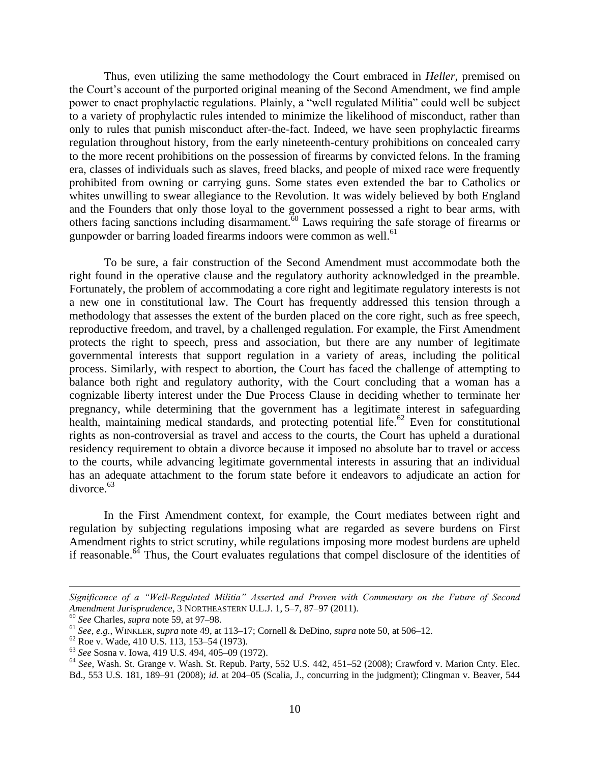Thus, even utilizing the same methodology the Court embraced in *Heller,* premised on the Court's account of the purported original meaning of the Second Amendment, we find ample power to enact prophylactic regulations. Plainly, a "well regulated Militia" could well be subject to a variety of prophylactic rules intended to minimize the likelihood of misconduct, rather than only to rules that punish misconduct after-the-fact. Indeed, we have seen prophylactic firearms regulation throughout history, from the early nineteenth-century prohibitions on concealed carry to the more recent prohibitions on the possession of firearms by convicted felons. In the framing era, classes of individuals such as slaves, freed blacks, and people of mixed race were frequently prohibited from owning or carrying guns. Some states even extended the bar to Catholics or whites unwilling to swear allegiance to the Revolution. It was widely believed by both England and the Founders that only those loyal to the government possessed a right to bear arms, with others facing sanctions including disarmament.<sup>60</sup> Laws requiring the safe storage of firearms or gunpowder or barring loaded firearms indoors were common as well.<sup>61</sup>

To be sure, a fair construction of the Second Amendment must accommodate both the right found in the operative clause and the regulatory authority acknowledged in the preamble. Fortunately, the problem of accommodating a core right and legitimate regulatory interests is not a new one in constitutional law. The Court has frequently addressed this tension through a methodology that assesses the extent of the burden placed on the core right, such as free speech, reproductive freedom, and travel, by a challenged regulation. For example, the First Amendment protects the right to speech, press and association, but there are any number of legitimate governmental interests that support regulation in a variety of areas, including the political process. Similarly, with respect to abortion, the Court has faced the challenge of attempting to balance both right and regulatory authority, with the Court concluding that a woman has a cognizable liberty interest under the Due Process Clause in deciding whether to terminate her pregnancy, while determining that the government has a legitimate interest in safeguarding health, maintaining medical standards, and protecting potential life.<sup>62</sup> Even for constitutional rights as non-controversial as travel and access to the courts, the Court has upheld a durational residency requirement to obtain a divorce because it imposed no absolute bar to travel or access to the courts, while advancing legitimate governmental interests in assuring that an individual has an adequate attachment to the forum state before it endeavors to adjudicate an action for  $divorce.<sup>63</sup>$ 

In the First Amendment context, for example, the Court mediates between right and regulation by subjecting regulations imposing what are regarded as severe burdens on First Amendment rights to strict scrutiny, while regulations imposing more modest burdens are upheld if reasonable.<sup>64</sup> Thus, the Court evaluates regulations that compel disclosure of the identities of

*Significance of a "Well-Regulated Militia" Asserted and Proven with Commentary on the Future of Second Amendment Jurisprudence*, 3 NORTHEASTERN U.L.J. 1, 5–7, 87–97 (2011).

<sup>60</sup> *See* Charles, *supra* note 59, at 97–98.

<sup>61</sup> *See*, *e.g.*, WINKLER, *supra* note 49, at 113–17; Cornell & DeDino, *supra* note 50, at 506–12.

<sup>62</sup> Roe v. Wade, 410 U.S. 113, 153–54 (1973).

<sup>63</sup> *See* Sosna v. Iowa, 419 U.S. 494, 405–09 (1972).

<sup>64</sup> *See*, Wash. St. Grange v. Wash. St. Repub. Party, 552 U.S. 442, 451–52 (2008); Crawford v. Marion Cnty. Elec. Bd., 553 U.S. 181, 189–91 (2008); *id.* at 204–05 (Scalia, J., concurring in the judgment); Clingman v. Beaver, 544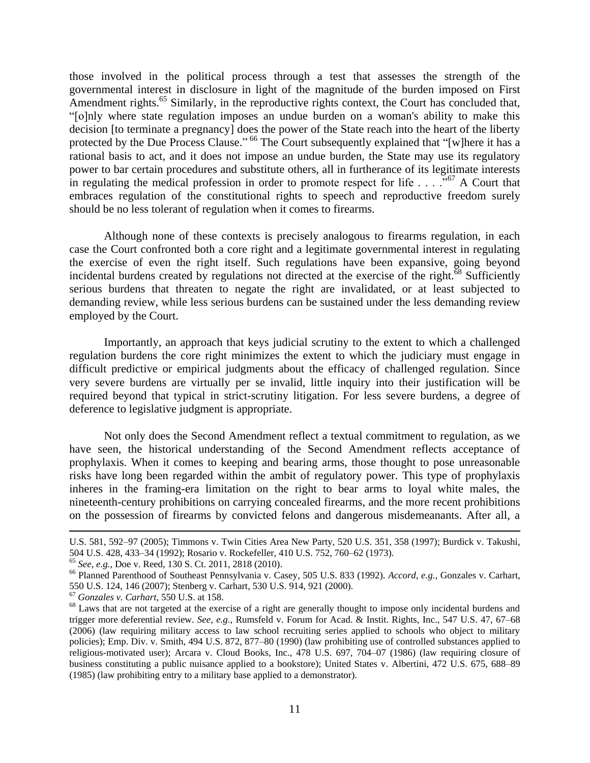those involved in the political process through a test that assesses the strength of the governmental interest in disclosure in light of the magnitude of the burden imposed on First Amendment rights.<sup>65</sup> Similarly, in the reproductive rights context, the Court has concluded that, "[o]nly where state regulation imposes an undue burden on a woman's ability to make this decision [to terminate a pregnancy] does the power of the State reach into the heart of the liberty protected by the Due Process Clause." <sup>66</sup> The Court subsequently explained that "[w]here it has a rational basis to act, and it does not impose an undue burden, the State may use its regulatory power to bar certain procedures and substitute others, all in furtherance of its legitimate interests in regulating the medical profession in order to promote respect for life  $\ldots$  ... <sup>67</sup> A Court that embraces regulation of the constitutional rights to speech and reproductive freedom surely should be no less tolerant of regulation when it comes to firearms.

Although none of these contexts is precisely analogous to firearms regulation, in each case the Court confronted both a core right and a legitimate governmental interest in regulating the exercise of even the right itself. Such regulations have been expansive, going beyond incidental burdens created by regulations not directed at the exercise of the right. $\frac{68}{68}$  Sufficiently serious burdens that threaten to negate the right are invalidated, or at least subjected to demanding review, while less serious burdens can be sustained under the less demanding review employed by the Court.

Importantly, an approach that keys judicial scrutiny to the extent to which a challenged regulation burdens the core right minimizes the extent to which the judiciary must engage in difficult predictive or empirical judgments about the efficacy of challenged regulation. Since very severe burdens are virtually per se invalid, little inquiry into their justification will be required beyond that typical in strict-scrutiny litigation. For less severe burdens, a degree of deference to legislative judgment is appropriate.

Not only does the Second Amendment reflect a textual commitment to regulation, as we have seen, the historical understanding of the Second Amendment reflects acceptance of prophylaxis. When it comes to keeping and bearing arms, those thought to pose unreasonable risks have long been regarded within the ambit of regulatory power. This type of prophylaxis inheres in the framing-era limitation on the right to bear arms to loyal white males, the nineteenth-century prohibitions on carrying concealed firearms, and the more recent prohibitions on the possession of firearms by convicted felons and dangerous misdemeanants. After all, a

U.S. 581, 592–97 (2005); Timmons v. Twin Cities Area New Party, 520 U.S. 351, 358 (1997); Burdick v. Takushi, 504 U.S. 428, 433–34 (1992); Rosario v. Rockefeller, 410 U.S. 752, 760–62 (1973).

<sup>65</sup> *See*, *e.g.*, Doe v. Reed, 130 S. Ct. 2011, 2818 (2010).

<sup>66</sup> Planned Parenthood of Southeast Pennsylvania v. Casey*,* 505 U.S. 833 (1992). *Accord*, *e.g.,* Gonzales v. Carhart, 550 U.S. 124, 146 (2007); Stenberg v. Carhart, 530 U.S. 914, 921 (2000).

<sup>67</sup> *Gonzales v. Carhart*, 550 U.S. at 158.

<sup>&</sup>lt;sup>68</sup> Laws that are not targeted at the exercise of a right are generally thought to impose only incidental burdens and trigger more deferential review. *See*, *e.g.*, Rumsfeld v. Forum for Acad. & Instit. Rights, Inc., 547 U.S. 47, 67–68 (2006) (law requiring military access to law school recruiting series applied to schools who object to military policies); Emp. Div. v. Smith, 494 U.S. 872, 877–80 (1990) (law prohibiting use of controlled substances applied to religious-motivated user); Arcara v. Cloud Books, Inc., 478 U.S. 697, 704–07 (1986) (law requiring closure of business constituting a public nuisance applied to a bookstore); United States v. Albertini, 472 U.S. 675, 688–89 (1985) (law prohibiting entry to a military base applied to a demonstrator).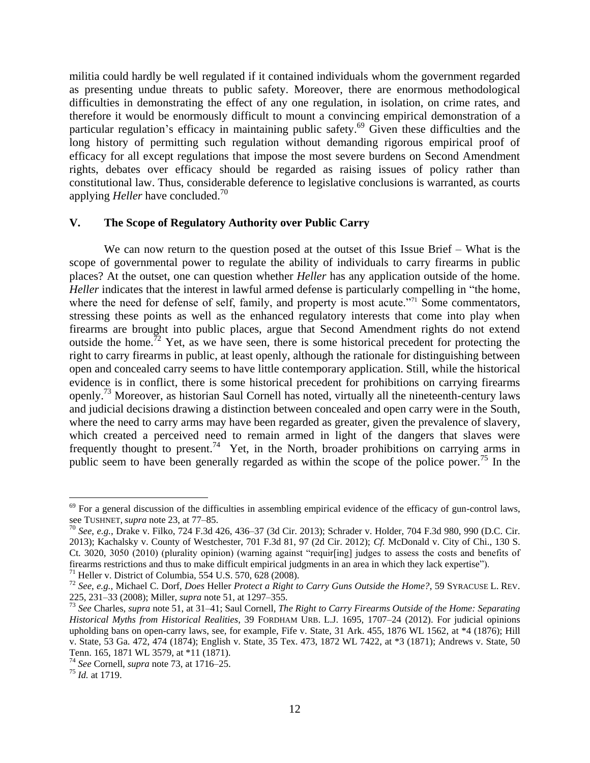militia could hardly be well regulated if it contained individuals whom the government regarded as presenting undue threats to public safety. Moreover, there are enormous methodological difficulties in demonstrating the effect of any one regulation, in isolation, on crime rates, and therefore it would be enormously difficult to mount a convincing empirical demonstration of a particular regulation's efficacy in maintaining public safety.<sup>69</sup> Given these difficulties and the long history of permitting such regulation without demanding rigorous empirical proof of efficacy for all except regulations that impose the most severe burdens on Second Amendment rights, debates over efficacy should be regarded as raising issues of policy rather than constitutional law. Thus, considerable deference to legislative conclusions is warranted, as courts applying *Heller* have concluded.<sup>70</sup>

# **V. The Scope of Regulatory Authority over Public Carry**

We can now return to the question posed at the outset of this Issue Brief – What is the scope of governmental power to regulate the ability of individuals to carry firearms in public places? At the outset, one can question whether *Heller* has any application outside of the home. *Heller* indicates that the interest in lawful armed defense is particularly compelling in "the home, where the need for defense of self, family, and property is most acute."<sup>71</sup> Some commentators, stressing these points as well as the enhanced regulatory interests that come into play when firearms are brought into public places, argue that Second Amendment rights do not extend outside the home.<sup>72</sup> Yet, as we have seen, there is some historical precedent for protecting the right to carry firearms in public, at least openly, although the rationale for distinguishing between open and concealed carry seems to have little contemporary application. Still, while the historical evidence is in conflict, there is some historical precedent for prohibitions on carrying firearms openly.<sup>73</sup> Moreover, as historian Saul Cornell has noted, virtually all the nineteenth-century laws and judicial decisions drawing a distinction between concealed and open carry were in the South, where the need to carry arms may have been regarded as greater, given the prevalence of slavery, which created a perceived need to remain armed in light of the dangers that slaves were frequently thought to present.<sup>74</sup> Yet, in the North, broader prohibitions on carrying arms in public seem to have been generally regarded as within the scope of the police power.<sup>75</sup> In the

<sup>71</sup> Heller v. District of Columbia*,* 554 U.S. 570, 628 (2008).

 $69$  For a general discussion of the difficulties in assembling empirical evidence of the efficacy of gun-control laws, see TUSHNET, *supra* note 23, at 77–85.

<sup>70</sup> *See*, *e.g.*, Drake v. Filko, 724 F.3d 426, 436–37 (3d Cir. 2013); Schrader v. Holder, 704 F.3d 980, 990 (D.C. Cir. 2013); Kachalsky v. County of Westchester, 701 F.3d 81, 97 (2d Cir. 2012); *Cf.* McDonald v. City of Chi., 130 S. Ct. 3020, 3050 (2010) (plurality opinion) (warning against "requir[ing] judges to assess the costs and benefits of firearms restrictions and thus to make difficult empirical judgments in an area in which they lack expertise").

<sup>72</sup> *See*, *e.g.*, Michael C. Dorf, *Does* Heller *Protect a Right to Carry Guns Outside the Home?*, 59 SYRACUSE L. REV. 225, 231–33 (2008); Miller, *supra* note 51, at 1297–355.

<sup>73</sup> *See* Charles, *supra* note 51, at 31–41; Saul Cornell, *The Right to Carry Firearms Outside of the Home: Separating Historical Myths from Historical Realities*, 39 FORDHAM URB. L.J. 1695, 1707–24 (2012). For judicial opinions upholding bans on open-carry laws, see, for example, Fife v. State, 31 Ark. 455, 1876 WL 1562, at \*4 (1876); Hill v. State, 53 Ga. 472, 474 (1874); English v. State, 35 Tex. 473, 1872 WL 7422, at \*3 (1871); Andrews v. State, 50 Tenn. 165, 1871 WL 3579, at \*11 (1871).

<sup>74</sup> *See* Cornell, *supra* note 73, at 1716–25.

<sup>75</sup> *Id.* at 1719.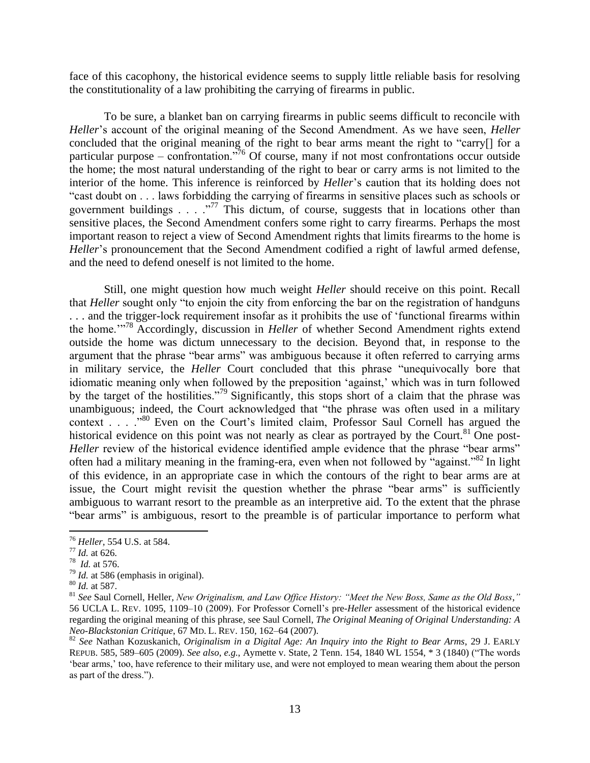face of this cacophony, the historical evidence seems to supply little reliable basis for resolving the constitutionality of a law prohibiting the carrying of firearms in public.

To be sure, a blanket ban on carrying firearms in public seems difficult to reconcile with *Heller*'s account of the original meaning of the Second Amendment. As we have seen, *Heller* concluded that the original meaning of the right to bear arms meant the right to "carry[] for a particular purpose – confrontation.<sup>776</sup> Of course, many if not most confrontations occur outside the home; the most natural understanding of the right to bear or carry arms is not limited to the interior of the home. This inference is reinforced by *Heller*'s caution that its holding does not "cast doubt on . . . laws forbidding the carrying of firearms in sensitive places such as schools or government buildings  $\ldots$   $\ldots$   $\ldots$  This dictum, of course, suggests that in locations other than sensitive places, the Second Amendment confers some right to carry firearms. Perhaps the most important reason to reject a view of Second Amendment rights that limits firearms to the home is *Heller*'s pronouncement that the Second Amendment codified a right of lawful armed defense, and the need to defend oneself is not limited to the home.

Still, one might question how much weight *Heller* should receive on this point. Recall that *Heller* sought only "to enjoin the city from enforcing the bar on the registration of handguns . . . and the trigger-lock requirement insofar as it prohibits the use of 'functional firearms within the home.'"<sup>78</sup> Accordingly, discussion in *Heller* of whether Second Amendment rights extend outside the home was dictum unnecessary to the decision. Beyond that, in response to the argument that the phrase "bear arms" was ambiguous because it often referred to carrying arms in military service, the *Heller* Court concluded that this phrase "unequivocally bore that idiomatic meaning only when followed by the preposition 'against,' which was in turn followed by the target of the hostilities."<sup>79</sup> Significantly, this stops short of a claim that the phrase was unambiguous; indeed, the Court acknowledged that "the phrase was often used in a military context . . . ."<sup>80</sup> Even on the Court's limited claim, Professor Saul Cornell has argued the historical evidence on this point was not nearly as clear as portrayed by the Court.<sup>81</sup> One post-*Heller* review of the historical evidence identified ample evidence that the phrase "bear arms" often had a military meaning in the framing-era, even when not followed by "against."<sup>82</sup> In light of this evidence, in an appropriate case in which the contours of the right to bear arms are at issue, the Court might revisit the question whether the phrase "bear arms" is sufficiently ambiguous to warrant resort to the preamble as an interpretive aid. To the extent that the phrase "bear arms" is ambiguous, resort to the preamble is of particular importance to perform what

<sup>76</sup> *Heller,* 554 U.S. at 584.

<sup>77</sup> *Id.* at 626.

<sup>78</sup> *Id.* at 576.

<sup>79</sup> *Id.* at 586 (emphasis in original).

<sup>80</sup> *Id.* at 587.

<sup>81</sup> *See* Saul Cornell, Heller*, New Originalism, and Law Office History: "Meet the New Boss, Same as the Old Boss*,*"* 56 UCLA L. REV. 1095, 1109–10 (2009). For Professor Cornell's pre-*Heller* assessment of the historical evidence regarding the original meaning of this phrase, see Saul Cornell, *The Original Meaning of Original Understanding: A Neo-Blackstonian Critique*, 67 MD. L. REV. 150, 162–64 (2007).

<sup>82</sup> *See* Nathan Kozuskanich, *Originalism in a Digital Age: An Inquiry into the Right to Bear Arms*, 29 J. EARLY REPUB. 585, 589–605 (2009). *See also*, *e.g.*, Aymette v. State, 2 Tenn. 154, 1840 WL 1554, \* 3 (1840) ("The words 'bear arms,' too, have reference to their military use, and were not employed to mean wearing them about the person as part of the dress.").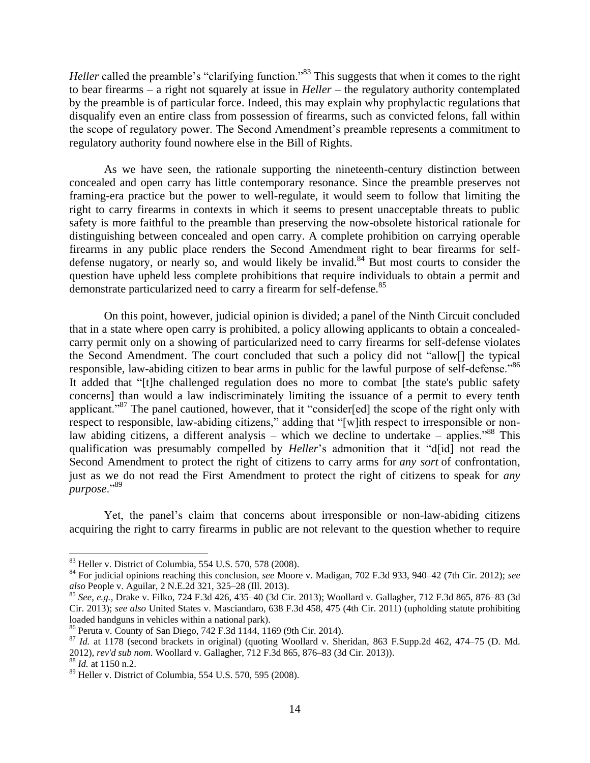*Heller* called the preamble's "clarifying function."<sup>83</sup> This suggests that when it comes to the right to bear firearms – a right not squarely at issue in *Heller* – the regulatory authority contemplated by the preamble is of particular force. Indeed, this may explain why prophylactic regulations that disqualify even an entire class from possession of firearms, such as convicted felons, fall within the scope of regulatory power. The Second Amendment's preamble represents a commitment to regulatory authority found nowhere else in the Bill of Rights.

As we have seen, the rationale supporting the nineteenth-century distinction between concealed and open carry has little contemporary resonance. Since the preamble preserves not framing-era practice but the power to well-regulate, it would seem to follow that limiting the right to carry firearms in contexts in which it seems to present unacceptable threats to public safety is more faithful to the preamble than preserving the now-obsolete historical rationale for distinguishing between concealed and open carry. A complete prohibition on carrying operable firearms in any public place renders the Second Amendment right to bear firearms for selfdefense nugatory, or nearly so, and would likely be invalid.<sup>84</sup> But most courts to consider the question have upheld less complete prohibitions that require individuals to obtain a permit and demonstrate particularized need to carry a firearm for self-defense.<sup>85</sup>

On this point, however, judicial opinion is divided; a panel of the Ninth Circuit concluded that in a state where open carry is prohibited, a policy allowing applicants to obtain a concealedcarry permit only on a showing of particularized need to carry firearms for self-defense violates the Second Amendment. The court concluded that such a policy did not "allow[] the typical responsible, law-abiding citizen to bear arms in public for the lawful purpose of self-defense."<sup>86</sup> It added that "[t]he challenged regulation does no more to combat [the state's public safety concerns] than would a law indiscriminately limiting the issuance of a permit to every tenth applicant."<sup>87</sup> The panel cautioned, however, that it "consider[ed] the scope of the right only with respect to responsible, law-abiding citizens," adding that "[w]ith respect to irresponsible or nonlaw abiding citizens, a different analysis – which we decline to undertake – applies.<sup>388</sup> This qualification was presumably compelled by *Heller*'s admonition that it "d[id] not read the Second Amendment to protect the right of citizens to carry arms for *any sort* of confrontation, just as we do not read the First Amendment to protect the right of citizens to speak for *any purpose*."<sup>89</sup>

Yet, the panel's claim that concerns about irresponsible or non-law-abiding citizens acquiring the right to carry firearms in public are not relevant to the question whether to require

<sup>83</sup> Heller v. District of Columbia, 554 U.S. 570, 578 (2008).

<sup>84</sup> For judicial opinions reaching this conclusion, *see* Moore v. Madigan, 702 F.3d 933, 940–42 (7th Cir. 2012); *see also* People v. Aguilar, 2 N.E.2d 321, 325–28 (Ill. 2013).

<sup>85</sup> *See*, *e.g.*, Drake v. Filko, 724 F.3d 426, 435–40 (3d Cir. 2013); Woollard v. Gallagher, 712 F.3d 865, 876–83 (3d Cir. 2013); *see also* United States v. Masciandaro, 638 F.3d 458, 475 (4th Cir. 2011) (upholding statute prohibiting loaded handguns in vehicles within a national park).

<sup>86</sup> Peruta v. County of San Diego, 742 F.3d 1144, 1169 (9th Cir. 2014).

<sup>87</sup> *Id.* at 1178 (second brackets in original) (quoting Woollard v. Sheridan, [863 F.Supp.2d 462, 474–75 \(D.](http://web2.westlaw.com/find/default.wl?mt=Westlaw&db=4637&tc=-1&rp=%2ffind%2fdefault.wl&findtype=Y&ordoc=2032716121&serialnum=2027252547&vr=2.0&fn=_top&sv=Split&tf=-1&referencepositiontype=S&pbc=ED007829&referenceposition=474&rs=WLW14.01) Md. [2012\),](http://web2.westlaw.com/find/default.wl?mt=Westlaw&db=4637&tc=-1&rp=%2ffind%2fdefault.wl&findtype=Y&ordoc=2032716121&serialnum=2027252547&vr=2.0&fn=_top&sv=Split&tf=-1&referencepositiontype=S&pbc=ED007829&referenceposition=474&rs=WLW14.01) *rev'd sub nom.* Woollard v. Gallagher, 712 F.3d 865, 876–83 (3d Cir. 2013)).

<sup>88</sup> *Id.* at 1150 n.2.

<sup>89</sup> Heller v. District of Columbia*,* 554 U.S. 570, 595 (2008).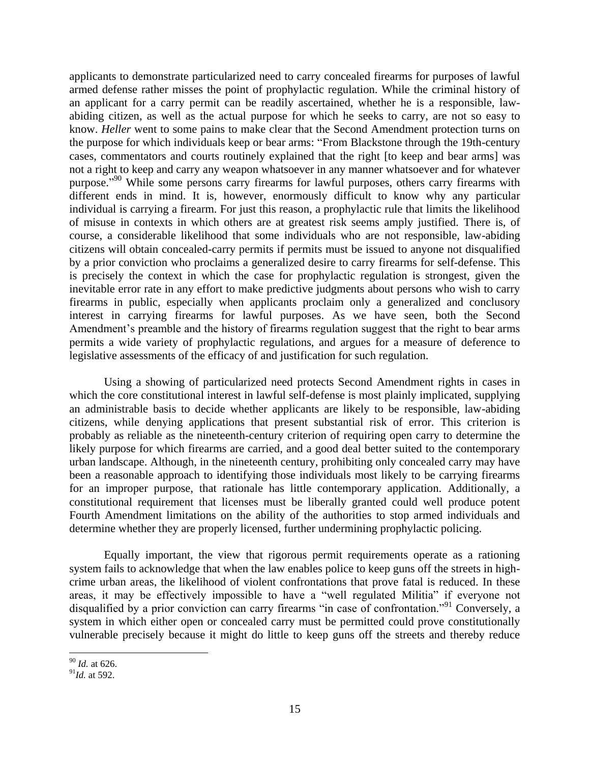applicants to demonstrate particularized need to carry concealed firearms for purposes of lawful armed defense rather misses the point of prophylactic regulation. While the criminal history of an applicant for a carry permit can be readily ascertained, whether he is a responsible, lawabiding citizen, as well as the actual purpose for which he seeks to carry, are not so easy to know. *Heller* went to some pains to make clear that the Second Amendment protection turns on the purpose for which individuals keep or bear arms: "From Blackstone through the 19th-century cases, commentators and courts routinely explained that the right [to keep and bear arms] was not a right to keep and carry any weapon whatsoever in any manner whatsoever and for whatever purpose."<sup>90</sup> While some persons carry firearms for lawful purposes, others carry firearms with different ends in mind. It is, however, enormously difficult to know why any particular individual is carrying a firearm. For just this reason, a prophylactic rule that limits the likelihood of misuse in contexts in which others are at greatest risk seems amply justified. There is, of course, a considerable likelihood that some individuals who are not responsible, law-abiding citizens will obtain concealed-carry permits if permits must be issued to anyone not disqualified by a prior conviction who proclaims a generalized desire to carry firearms for self-defense. This is precisely the context in which the case for prophylactic regulation is strongest, given the inevitable error rate in any effort to make predictive judgments about persons who wish to carry firearms in public, especially when applicants proclaim only a generalized and conclusory interest in carrying firearms for lawful purposes. As we have seen, both the Second Amendment's preamble and the history of firearms regulation suggest that the right to bear arms permits a wide variety of prophylactic regulations, and argues for a measure of deference to legislative assessments of the efficacy of and justification for such regulation.

Using a showing of particularized need protects Second Amendment rights in cases in which the core constitutional interest in lawful self-defense is most plainly implicated, supplying an administrable basis to decide whether applicants are likely to be responsible, law-abiding citizens, while denying applications that present substantial risk of error. This criterion is probably as reliable as the nineteenth-century criterion of requiring open carry to determine the likely purpose for which firearms are carried, and a good deal better suited to the contemporary urban landscape. Although, in the nineteenth century, prohibiting only concealed carry may have been a reasonable approach to identifying those individuals most likely to be carrying firearms for an improper purpose, that rationale has little contemporary application. Additionally, a constitutional requirement that licenses must be liberally granted could well produce potent Fourth Amendment limitations on the ability of the authorities to stop armed individuals and determine whether they are properly licensed, further undermining prophylactic policing.

Equally important, the view that rigorous permit requirements operate as a rationing system fails to acknowledge that when the law enables police to keep guns off the streets in highcrime urban areas, the likelihood of violent confrontations that prove fatal is reduced. In these areas, it may be effectively impossible to have a "well regulated Militia" if everyone not disqualified by a prior conviction can carry firearms "in case of confrontation."<sup>91</sup> Conversely, a system in which either open or concealed carry must be permitted could prove constitutionally vulnerable precisely because it might do little to keep guns off the streets and thereby reduce

 $\overline{a}$ <sup>90</sup> *Id.* at 626.

<sup>91</sup>*Id.* at 592.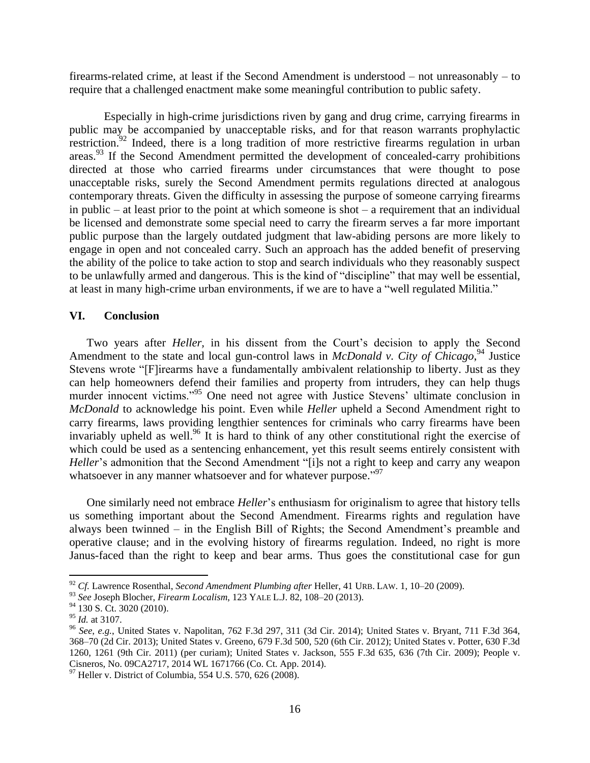firearms-related crime, at least if the Second Amendment is understood – not unreasonably – to require that a challenged enactment make some meaningful contribution to public safety.

Especially in high-crime jurisdictions riven by gang and drug crime, carrying firearms in public may be accompanied by unacceptable risks, and for that reason warrants prophylactic restriction.<sup>92</sup> Indeed, there is a long tradition of more restrictive firearms regulation in urban areas.<sup>93</sup> If the Second Amendment permitted the development of concealed-carry prohibitions directed at those who carried firearms under circumstances that were thought to pose unacceptable risks, surely the Second Amendment permits regulations directed at analogous contemporary threats. Given the difficulty in assessing the purpose of someone carrying firearms in public – at least prior to the point at which someone is shot – a requirement that an individual be licensed and demonstrate some special need to carry the firearm serves a far more important public purpose than the largely outdated judgment that law-abiding persons are more likely to engage in open and not concealed carry. Such an approach has the added benefit of preserving the ability of the police to take action to stop and search individuals who they reasonably suspect to be unlawfully armed and dangerous. This is the kind of "discipline" that may well be essential, at least in many high-crime urban environments, if we are to have a "well regulated Militia."

## **VI. Conclusion**

Two years after *Heller,* in his dissent from the Court's decision to apply the Second Amendment to the state and local gun-control laws in *McDonald v. City of Chicago*,<sup>94</sup> Justice Stevens wrote "[F]irearms have a fundamentally ambivalent relationship to liberty. Just as they can help homeowners defend their families and property from intruders, they can help thugs murder innocent victims."<sup>95</sup> One need not agree with Justice Stevens' ultimate conclusion in *McDonald* to acknowledge his point. Even while *Heller* upheld a Second Amendment right to carry firearms, laws providing lengthier sentences for criminals who carry firearms have been invariably upheld as well.<sup>96</sup> It is hard to think of any other constitutional right the exercise of which could be used as a sentencing enhancement, yet this result seems entirely consistent with *Heller*'s admonition that the Second Amendment "[i]s not a right to keep and carry any weapon whatsoever in any manner whatsoever and for whatever purpose."<sup>97</sup>

One similarly need not embrace *Heller*'s enthusiasm for originalism to agree that history tells us something important about the Second Amendment. Firearms rights and regulation have always been twinned – in the English Bill of Rights; the Second Amendment's preamble and operative clause; and in the evolving history of firearms regulation. Indeed, no right is more Janus-faced than the right to keep and bear arms. Thus goes the constitutional case for gun

 $\overline{a}$ 

<sup>97</sup> Heller v. District of Columbia*,* 554 U.S. 570, 626 (2008).

<sup>92</sup> *Cf.* Lawrence Rosenthal, *Second Amendment Plumbing after* Heller, 41 URB. LAW. 1, 10–20 (2009).

<sup>93</sup> *See* Joseph Blocher, *Firearm Localism*, 123 YALE L.J. 82, 108–20 (2013).

<sup>&</sup>lt;sup>94</sup> 130 S. Ct. 3020 (2010).

<sup>95</sup> *Id.* at 3107.

<sup>96</sup> *See*, *e.g.*, United States v. Napolitan, 762 F.3d 297, 311 (3d Cir. 2014); United States v. Bryant, 711 F.3d 364, 368–70 (2d Cir. 2013); United States v. Greeno, 679 F.3d 500, 520 (6th Cir. 2012); United States v. Potter, 630 F.3d 1260, 1261 (9th Cir. 2011) (per curiam); United States v. Jackson, 555 F.3d 635, 636 (7th Cir. 2009); People v. Cisneros, No. 09CA2717, 2014 WL 1671766 (Co. Ct. App. 2014).